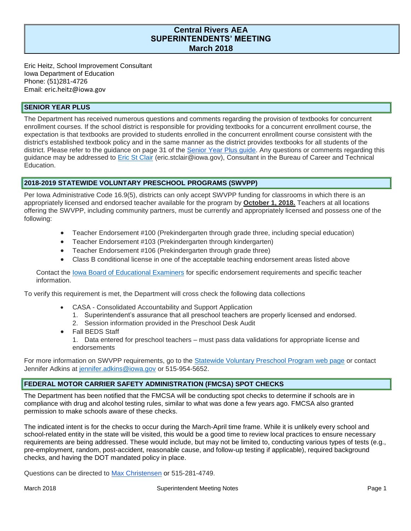# **Central Rivers AEA SUPERINTENDENTS' MEETING March 2018**

Eric Heitz, School Improvement Consultant Iowa Department of Education Phone: (51)281-4726 Email: eric.heitz@iowa.gov

## **SENIOR YEAR PLUS**

The Department has received numerous questions and comments regarding the provision of textbooks for concurrent enrollment courses. If the school district is responsible for providing textbooks for a concurrent enrollment course, the expectation is that textbooks are provided to students enrolled in the concurrent enrollment course consistent with the district's established textbook policy and in the same manner as the district provides textbooks for all students of the district. Please refer to the guidance on page 31 of the [Senior Year Plus guide.](https://www.educateiowa.gov/sites/files/ed/documents/SYP%20Guide%20for%20Educators%20and%20Ed.%20Administrators%205-3-16.pdf) Any questions or comments regarding this guidance may be addressed to [Eric St Clair](mailto:eric.stclair@iowa.go) (eric.stclair@iowa.gov), Consultant in the Bureau of Career and Technical Education.

## **2018-2019 STATEWIDE VOLUNTARY PRESCHOOL PROGRAMS (SWVPP)**

 Per Iowa Administrative Code 16.9(5), districts can only accept SWVPP funding for classrooms in which there is an offering the SWVPP, including community partners, must be currently and appropriately licensed and possess one of the appropriately licensed and endorsed teacher available for the program by **October 1, 2018.** Teachers at all locations following:

- Teacher Endorsement #100 (Prekindergarten through grade three, including special education)
- Teacher Endorsement #103 (Prekindergarten through kindergarten)
- Teacher Endorsement #106 (Prekindergarten through grade three)
- Class B conditional license in one of the acceptable teaching endorsement areas listed above

Contact the lowa Board of Educational Examiners for specific endorsement requirements and specific teacher information.

To verify this requirement is met, the Department will cross check the following data collections

- CASA Consolidated Accountability and Support Application
	- 1. Superintendent's assurance that all preschool teachers are properly licensed and endorsed.
	- 2. Session information provided in the Preschool Desk Audit
- Fall BEDS Staff
	- 1. Data entered for preschool teachers must pass data validations for appropriate license and endorsements

For more information on SWVPP requirements, go to the **Statewide Voluntary Preschool Program web** page or contact Jennifer Adkins at [jennifer.adkins@iowa.gov](mailto:jennifer.adkins@iowa.gov) or 515-954-5652.

### **FEDERAL MOTOR CARRIER SAFETY ADMINISTRATION (FMCSA) SPOT CHECKS**

 compliance with drug and alcohol testing rules, similar to what was done a few years ago. FMCSA also granted The Department has been notified that the FMCSA will be conducting spot checks to determine if schools are in permission to make schools aware of these checks.

 school-related entity in the state will be visited, this would be a good time to review local practices to ensure necessary requirements are being addressed. These would include, but may not be limited to, conducting various types of tests (e.g., The indicated intent is for the checks to occur during the March-April time frame. While it is unlikely every school and pre-employment, random, post-accident, reasonable cause, and follow-up testing if applicable), required background checks, and having the DOT mandated policy in place.

Questions can be directed to [Max Christensen](mailto:max.christensen@iowa.gov) or 515-281-4749.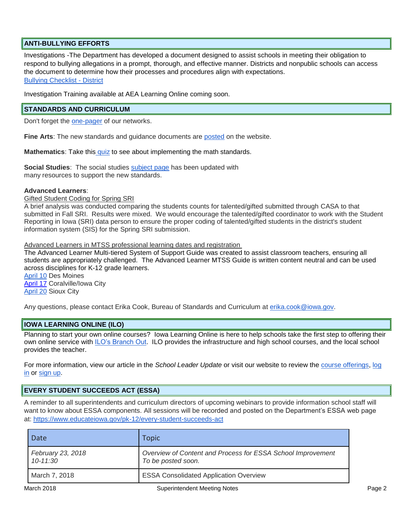# **ANTI-BULLYING EFFORTS**

 the document to determine how their processes and procedures align with expectations. Investigations -The Department has developed a document designed to assist schools in meeting their obligation to respond to bullying allegations in a prompt, thorough, and effective manner. Districts and nonpublic schools can access [Bullying Checklist - District](https://www.educateiowa.gov/documents/bullying-information/2017/11/bullying-checklist-district) 

Investigation Training available at AEA Learning Online coming soon.

## **STANDARDS AND CURRICULUM**

Don't forget the **one-pager** of our networks.

**Fine Arts**: The new standards and guidance documents are [posted](https://www.educateiowa.gov/pk-12/content-areas/fine-arts) on the website.

Mathematics: Take thi[s quiz](https://docs.google.com/document/d/1LjqcnkWled1_Vyiny24jEtC_KGLeWWYgqPNWc7-Agh4/edit) to see about implementing the math standards.

 **Social Studies**: The social studies [subject page](https://iowacore.gov/content/social-studies-resources) has been updated with many resources to support the new standards.

#### **Advanced Learners**:

**Gifted Student Coding for Spring SRI** 

 A brief analysis was conducted comparing the students counts for talented/gifted submitted through CASA to that submitted in Fall SRI. Results were mixed. We would encourage the talented/gifted coordinator to work with the Student information system (SIS) for the Spring SRI submission. Reporting in Iowa (SRI) data person to ensure the proper coding of talented/gifted students in the district's student

Advanced Learners in MTSS professional learning dates and registration

 students are appropriately challenged. The Advanced Learner MTSS Guide is written content neutral and can be used The Advanced Learner Multi-tiered System of Support Guide was created to assist classroom teachers, ensuring all across disciplines for K-12 grade learners.

 [April 10](https://www.educateiowa.gov/event/professional-learning-advanced-learner-mtss-guide) Des Moines [April 17](https://www.educateiowa.gov/event/professional-learning-advanced-learner-mtss-guide-0) Coralville/Iowa City [April 20](https://www.educateiowa.gov/event/professional-learning-advanced-learner-mtss-guide-1) Sioux City

Any questions, please contact Erika Cook, Bureau of Standards and Curriculum at **erika.cook@iowa.gov.** 

## **IOWA LEARNING ONLINE (ILO)**

 Planning to start your own online courses? Iowa Learning Online is here to help schools take the first step to offering their own online service with [ILO's Branch Out.](http://iowalearningonline.org/news/ilo-piloting-new-services-help-schools-start-their-own-online-program) ILO provides the infrastructure and high school courses, and the local school provides the teacher.

For more information, view our article in the *School Leader Update* or visit our website to review the [course offerings,](http://iowalearningonline.org/news/iowa-learning-online-summer-2018-courses-open-enrollment) [log](https://ilo.geniussis.com/PublicWelcome.aspx)  [in](https://ilo.geniussis.com/PublicWelcome.aspx) or [sign up.](http://iowalearningonline.org/sign-up)

### **EVERY STUDENT SUCCEEDS ACT (ESSA)**

 at:<https://www.educateiowa.gov/pk-12/every-student-succeeds-act>A reminder to all superintendents and curriculum directors of upcoming webinars to provide information school staff will want to know about ESSA components. All sessions will be recorded and posted on the Department's ESSA web page

| Date                              | <b>Topic</b>                                                                      |
|-----------------------------------|-----------------------------------------------------------------------------------|
| February 23, 2018<br>$10 - 11:30$ | Overview of Content and Process for ESSA School Improvement<br>To be posted soon. |
| March 7, 2018                     | <b>ESSA Consolidated Application Overview</b>                                     |